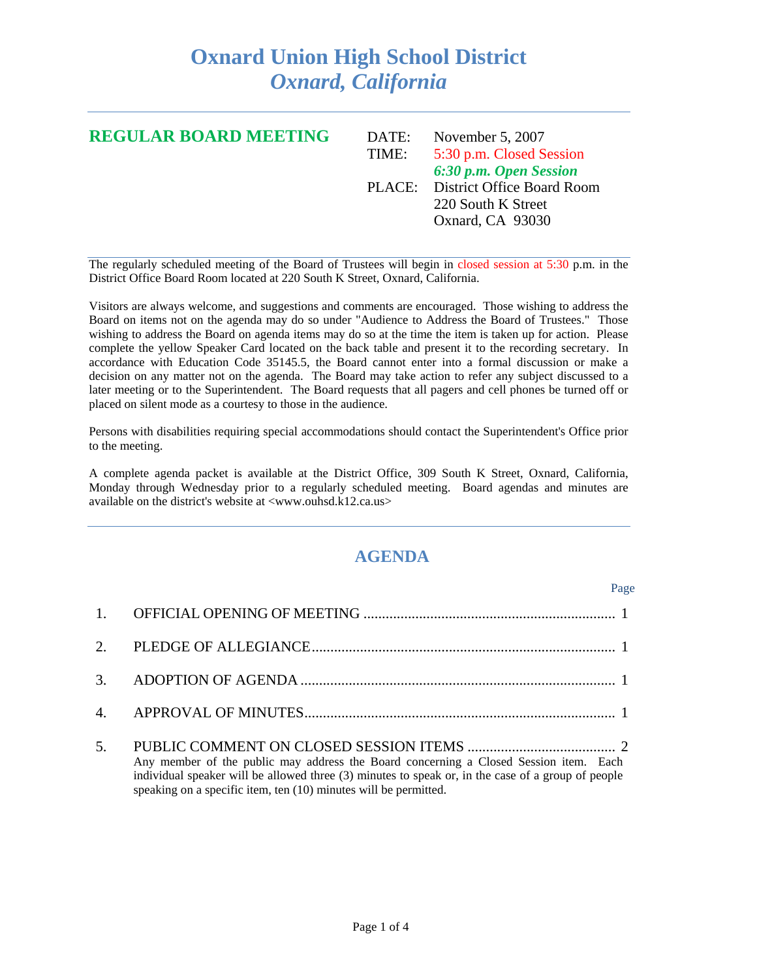## **Oxnard Union High School District**  *Oxnard, California*

| <b>REGULAR BOARD MEETING</b> | DATE: | November 5, $2007$                |
|------------------------------|-------|-----------------------------------|
|                              | TIME: | 5:30 p.m. Closed Session          |
|                              |       | 6:30 p.m. Open Session            |
|                              |       | PLACE: District Office Board Room |
|                              |       | 220 South K Street                |
|                              |       | Oxnard, CA 93030                  |
|                              |       |                                   |

The regularly scheduled meeting of the Board of Trustees will begin in closed session at 5:30 p.m. in the District Office Board Room located at 220 South K Street, Oxnard, California.

Visitors are always welcome, and suggestions and comments are encouraged. Those wishing to address the Board on items not on the agenda may do so under "Audience to Address the Board of Trustees." Those wishing to address the Board on agenda items may do so at the time the item is taken up for action. Please complete the yellow Speaker Card located on the back table and present it to the recording secretary. In accordance with Education Code 35145.5, the Board cannot enter into a formal discussion or make a decision on any matter not on the agenda. The Board may take action to refer any subject discussed to a later meeting or to the Superintendent. The Board requests that all pagers and cell phones be turned off or placed on silent mode as a courtesy to those in the audience.

Persons with disabilities requiring special accommodations should contact the Superintendent's Office prior to the meeting.

A complete agenda packet is available at the District Office, 309 South K Street, Oxnard, California, Monday through Wednesday prior to a regularly scheduled meeting. Board agendas and minutes are available on the district's website at <www.ouhsd.k12.ca.us>

## **AGENDA**

|                                                                                                                                                                                                                                                                 | Page |
|-----------------------------------------------------------------------------------------------------------------------------------------------------------------------------------------------------------------------------------------------------------------|------|
|                                                                                                                                                                                                                                                                 |      |
|                                                                                                                                                                                                                                                                 |      |
|                                                                                                                                                                                                                                                                 |      |
|                                                                                                                                                                                                                                                                 |      |
| Any member of the public may address the Board concerning a Closed Session item. Each<br>individual speaker will be allowed three (3) minutes to speak or, in the case of a group of people<br>speaking on a specific item, ten (10) minutes will be permitted. |      |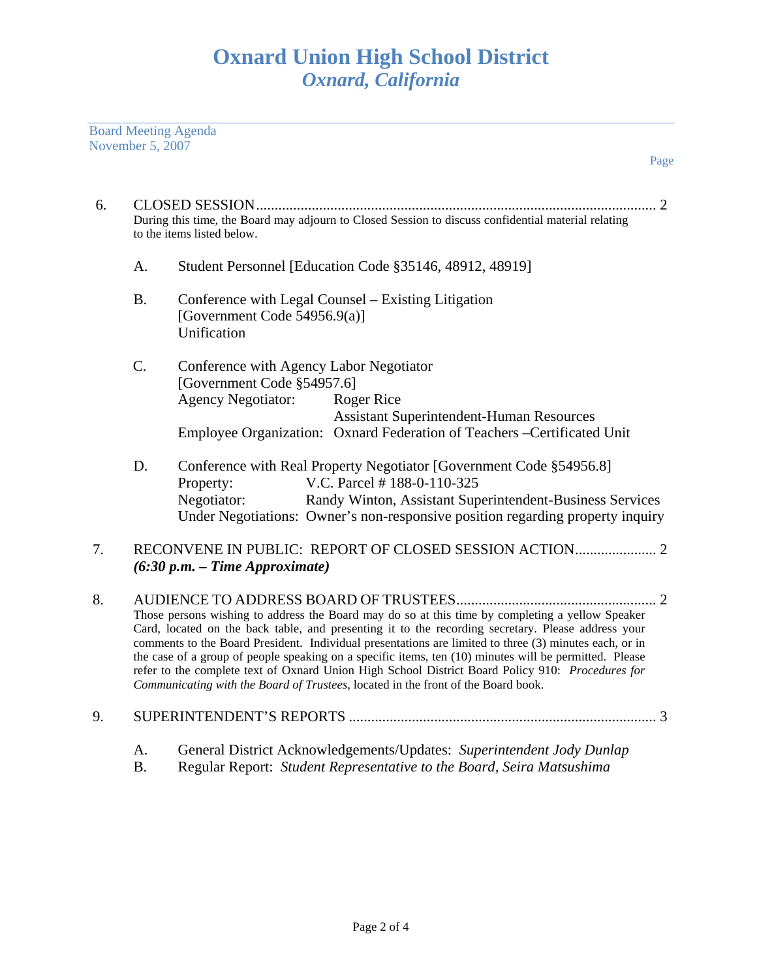Board Meeting Agenda November 5, 2007

| 6. | During this time, the Board may adjourn to Closed Session to discuss confidential material relating<br>to the items listed below.                                                                                                                                                                                                                                                                                                                                                                                                                                                                                   |                                                                                                                                                                                                                                                                             |  |
|----|---------------------------------------------------------------------------------------------------------------------------------------------------------------------------------------------------------------------------------------------------------------------------------------------------------------------------------------------------------------------------------------------------------------------------------------------------------------------------------------------------------------------------------------------------------------------------------------------------------------------|-----------------------------------------------------------------------------------------------------------------------------------------------------------------------------------------------------------------------------------------------------------------------------|--|
|    | Α.                                                                                                                                                                                                                                                                                                                                                                                                                                                                                                                                                                                                                  | Student Personnel [Education Code §35146, 48912, 48919]                                                                                                                                                                                                                     |  |
|    | <b>B.</b>                                                                                                                                                                                                                                                                                                                                                                                                                                                                                                                                                                                                           | Conference with Legal Counsel – Existing Litigation<br>[Government Code 54956.9(a)]<br>Unification                                                                                                                                                                          |  |
|    | C.                                                                                                                                                                                                                                                                                                                                                                                                                                                                                                                                                                                                                  | Conference with Agency Labor Negotiator<br>[Government Code §54957.6]<br><b>Agency Negotiator:</b><br><b>Roger Rice</b><br><b>Assistant Superintendent-Human Resources</b><br>Employee Organization: Oxnard Federation of Teachers -Certificated Unit                       |  |
|    | D.                                                                                                                                                                                                                                                                                                                                                                                                                                                                                                                                                                                                                  | Conference with Real Property Negotiator [Government Code §54956.8]<br>V.C. Parcel #188-0-110-325<br>Property:<br>Negotiator:<br>Randy Winton, Assistant Superintendent-Business Services<br>Under Negotiations: Owner's non-responsive position regarding property inquiry |  |
| 7. | $(6:30 p.m. - Time Approximate)$                                                                                                                                                                                                                                                                                                                                                                                                                                                                                                                                                                                    |                                                                                                                                                                                                                                                                             |  |
| 8. | Those persons wishing to address the Board may do so at this time by completing a yellow Speaker<br>Card, located on the back table, and presenting it to the recording secretary. Please address your<br>comments to the Board President. Individual presentations are limited to three (3) minutes each, or in<br>the case of a group of people speaking on a specific items, ten (10) minutes will be permitted. Please<br>refer to the complete text of Oxnard Union High School District Board Policy 910: Procedures for<br>Communicating with the Board of Trustees, located in the front of the Board book. |                                                                                                                                                                                                                                                                             |  |
| 9. |                                                                                                                                                                                                                                                                                                                                                                                                                                                                                                                                                                                                                     |                                                                                                                                                                                                                                                                             |  |

- A. General District Acknowledgements/Updates: *Superintendent Jody Dunlap*
- B. Regular Report: *Student Representative to the Board, Seira Matsushima*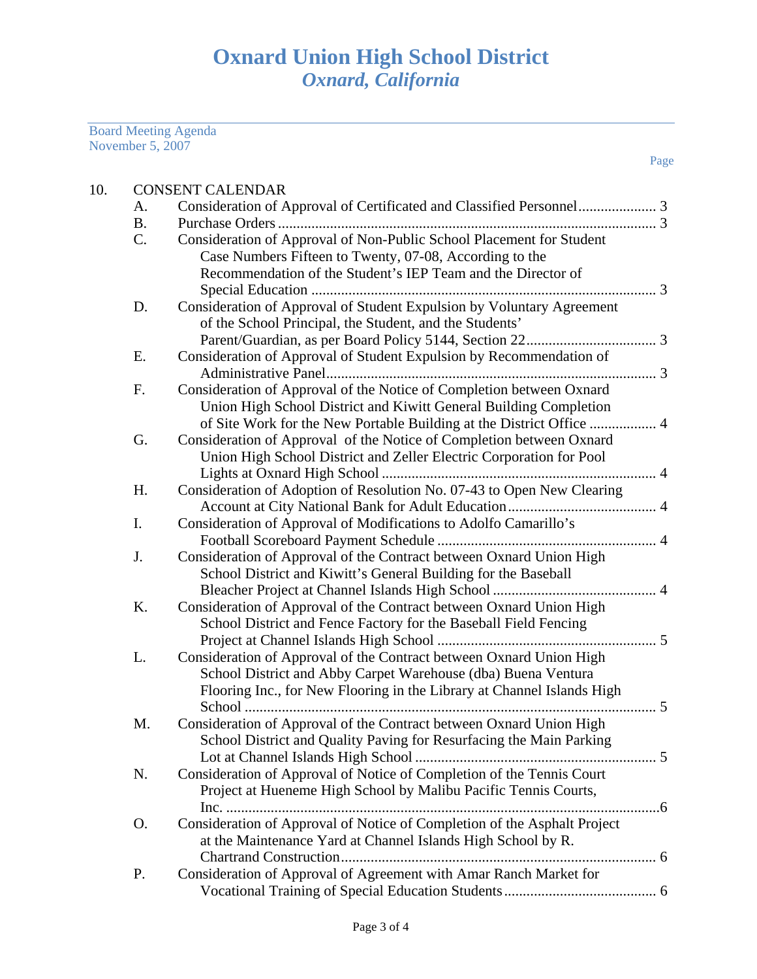Board Meeting Agenda November 5, 2007

| 10. |           | <b>CONSENT CALENDAR</b>                                                              |
|-----|-----------|--------------------------------------------------------------------------------------|
|     | A.        |                                                                                      |
|     | <b>B.</b> |                                                                                      |
|     | C.        | Consideration of Approval of Non-Public School Placement for Student                 |
|     |           | Case Numbers Fifteen to Twenty, 07-08, According to the                              |
|     |           | Recommendation of the Student's IEP Team and the Director of                         |
|     |           |                                                                                      |
|     | D.        | Consideration of Approval of Student Expulsion by Voluntary Agreement                |
|     |           | of the School Principal, the Student, and the Students'                              |
|     |           |                                                                                      |
|     | E.        | Consideration of Approval of Student Expulsion by Recommendation of                  |
|     |           |                                                                                      |
|     | F.        | Consideration of Approval of the Notice of Completion between Oxnard                 |
|     |           | Union High School District and Kiwitt General Building Completion                    |
|     |           | of Site Work for the New Portable Building at the District Office  4                 |
|     | G.        | Consideration of Approval of the Notice of Completion between Oxnard                 |
|     |           | Union High School District and Zeller Electric Corporation for Pool                  |
|     |           |                                                                                      |
|     | H.        | Consideration of Adoption of Resolution No. 07-43 to Open New Clearing               |
|     |           |                                                                                      |
|     | I.        | Consideration of Approval of Modifications to Adolfo Camarillo's                     |
|     |           |                                                                                      |
|     | J.        | Consideration of Approval of the Contract between Oxnard Union High                  |
|     |           | School District and Kiwitt's General Building for the Baseball                       |
|     |           |                                                                                      |
|     | K.        | Consideration of Approval of the Contract between Oxnard Union High                  |
|     |           | School District and Fence Factory for the Baseball Field Fencing                     |
|     |           |                                                                                      |
|     | L.        | Consideration of Approval of the Contract between Oxnard Union High                  |
|     |           | School District and Abby Carpet Warehouse (dba) Buena Ventura                        |
|     |           | Flooring Inc., for New Flooring in the Library at Channel Islands High<br>$\cdots$ 5 |
|     |           |                                                                                      |
|     | M.        | Consideration of Approval of the Contract between Oxnard Union High                  |
|     |           | School District and Quality Paving for Resurfacing the Main Parking                  |
|     |           | Consideration of Approval of Notice of Completion of the Tennis Court                |
|     | N.        | Project at Hueneme High School by Malibu Pacific Tennis Courts,                      |
|     |           |                                                                                      |
|     | O.        | Consideration of Approval of Notice of Completion of the Asphalt Project             |
|     |           |                                                                                      |
|     |           | at the Maintenance Yard at Channel Islands High School by R.                         |
|     | P.        | Consideration of Approval of Agreement with Amar Ranch Market for                    |
|     |           |                                                                                      |
|     |           |                                                                                      |